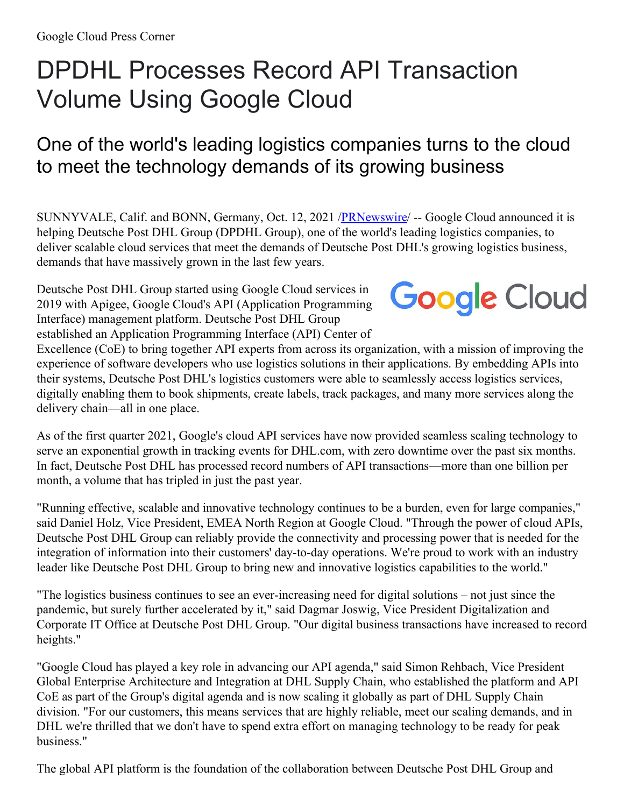## DPDHL Processes Record API Transaction Volume Using Google Cloud

## One of the world's leading logistics companies turns to the cloud to meet the technology demands of its growing business

SUNNYVALE, Calif. and BONN, Germany, Oct. 12, 2021 [/PRNewswire](http://www.prnewswire.com/)/ -- Google Cloud announced it is helping Deutsche Post DHL Group (DPDHL Group), one of the world's leading logistics companies, to deliver scalable cloud services that meet the demands of Deutsche Post DHL's growing logistics business, demands that have massively grown in the last few years.

Deutsche Post DHL Group started using Google Cloud services in 2019 with Apigee, Google Cloud's API (Application Programming Interface) management platform. Deutsche Post DHL Group established an Application Programming Interface (API) Center of

## **Google Cloud**

Excellence (CoE) to bring together API experts from across its organization, with a mission of improving the experience of software developers who use logistics solutions in their applications. By embedding APIs into their systems, Deutsche Post DHL's logistics customers were able to seamlessly access logistics services, digitally enabling them to book shipments, create labels, track packages, and many more services along the delivery chain—all in one place.

As of the first quarter 2021, Google's cloud API services have now provided seamless scaling technology to serve an exponential growth in tracking events for DHL.com, with zero downtime over the past six months. In fact, Deutsche Post DHL has processed record numbers of API transactions—more than one billion per month, a volume that has tripled in just the past year.

"Running effective, scalable and innovative technology continues to be a burden, even for large companies," said Daniel Holz, Vice President, EMEA North Region at Google Cloud. "Through the power of cloud APIs, Deutsche Post DHL Group can reliably provide the connectivity and processing power that is needed for the integration of information into their customers' day-to-day operations. We're proud to work with an industry leader like Deutsche Post DHL Group to bring new and innovative logistics capabilities to the world."

"The logistics business continues to see an ever-increasing need for digital solutions – not just since the pandemic, but surely further accelerated by it," said Dagmar Joswig, Vice President Digitalization and Corporate IT Office at Deutsche Post DHL Group. "Our digital business transactions have increased to record heights."

"Google Cloud has played a key role in advancing our API agenda," said Simon Rehbach, Vice President Global Enterprise Architecture and Integration at DHL Supply Chain, who established the platform and API CoE as part of the Group's digital agenda and is now scaling it globally as part of DHL Supply Chain division. "For our customers, this means services that are highly reliable, meet our scaling demands, and in DHL we're thrilled that we don't have to spend extra effort on managing technology to be ready for peak business."

The global API platform is the foundation of the collaboration between Deutsche Post DHL Group and